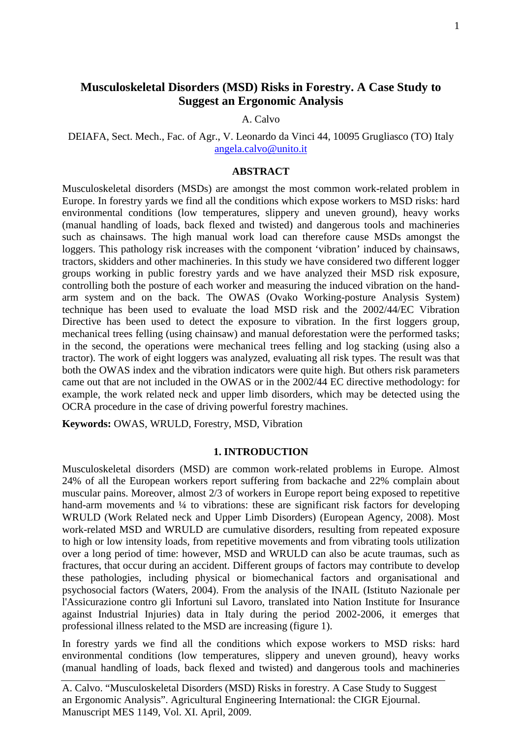# **Musculoskeletal Disorders (MSD) Risks in Forestry. A Case Study to Suggest an Ergonomic Analysis**

### A. Calvo

DEIAFA, Sect. Mech., Fac. of Agr., V. Leonardo da Vinci 44, 10095 Grugliasco (TO) Italy [angela.calvo@unito.it](mailto:angela.calvo@unito.it)

## **ABSTRACT**

Musculoskeletal disorders (MSDs) are amongst the most common work-related problem in Europe. In forestry yards we find all the conditions which expose workers to MSD risks: hard environmental conditions (low temperatures, slippery and uneven ground), heavy works (manual handling of loads, back flexed and twisted) and dangerous tools and machineries such as chainsaws. The high manual work load can therefore cause MSDs amongst the loggers. This pathology risk increases with the component 'vibration' induced by chainsaws, tractors, skidders and other machineries. In this study we have considered two different logger groups working in public forestry yards and we have analyzed their MSD risk exposure, controlling both the posture of each worker and measuring the induced vibration on the handarm system and on the back. The OWAS (Ovako Working-posture Analysis System) technique has been used to evaluate the load MSD risk and the 2002/44/EC Vibration Directive has been used to detect the exposure to vibration. In the first loggers group, mechanical trees felling (using chainsaw) and manual deforestation were the performed tasks; in the second, the operations were mechanical trees felling and log stacking (using also a tractor). The work of eight loggers was analyzed, evaluating all risk types. The result was that both the OWAS index and the vibration indicators were quite high. But others risk parameters came out that are not included in the OWAS or in the 2002/44 EC directive methodology: for example, the work related neck and upper limb disorders, which may be detected using the OCRA procedure in the case of driving powerful forestry machines.

**Keywords:** OWAS, WRULD, Forestry, MSD, Vibration

## **1. INTRODUCTION**

Musculoskeletal disorders (MSD) are common work-related problems in Europe. Almost 24% of all the European workers report suffering from backache and 22% complain about muscular pains. Moreover, almost 2/3 of workers in Europe report being exposed to repetitive hand-arm movements and <sup>1</sup>/4 to vibrations: these are significant risk factors for developing WRULD (Work Related neck and Upper Limb Disorders) (European Agency, 2008). Most work-related MSD and WRULD are cumulative disorders, resulting from repeated exposure to high or low intensity loads, from repetitive movements and from vibrating tools utilization over a long period of time: however, MSD and WRULD can also be acute traumas, such as fractures, that occur during an accident. Different groups of factors may contribute to develop these pathologies, including physical or biomechanical factors and organisational and psychosocial factors (Waters, 2004). From the analysis of the INAIL (Istituto Nazionale per l'Assicurazione contro gli Infortuni sul Lavoro, translated into Nation Institute for Insurance against Industrial Injuries) data in Italy during the period 2002-2006, it emerges that professional illness related to the MSD are increasing (figure 1).

In forestry yards we find all the conditions which expose workers to MSD risks: hard environmental conditions (low temperatures, slippery and uneven ground), heavy works (manual handling of loads, back flexed and twisted) and dangerous tools and machineries

A. Calvo. "Musculoskeletal Disorders (MSD) Risks in forestry. A Case Study to Suggest an Ergonomic Analysis". Agricultural Engineering International: the CIGR Ejournal. Manuscript MES 1149, Vol. XI. April, 2009.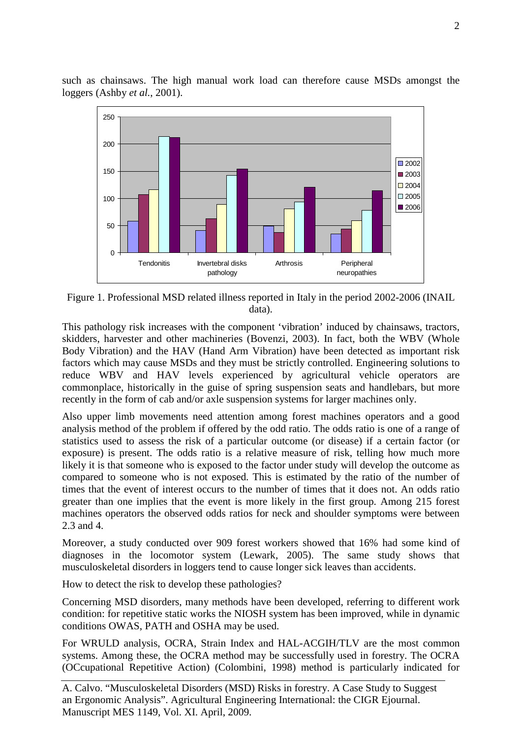

such as chainsaws. The high manual work load can therefore cause MSDs amongst the loggers (Ashby *et al.*, 2001).

Figure 1. Professional MSD related illness reported in Italy in the period 2002-2006 (INAIL data).

Arthrosis Peripheral

neuropathies

 $\Box$  2004 2005 ■2006

Tendonitis Invertebral disks

pathology

This pathology risk increases with the component 'vibration' induced by chainsaws, tractors, skidders, harvester and other machineries (Bovenzi, 2003). In fact, both the WBV (Whole Body Vibration) and the HAV (Hand Arm Vibration) have been detected as important risk factors which may cause MSDs and they must be strictly controlled. Engineering solutions to reduce WBV and HAV levels experienced by agricultural vehicle operators are commonplace, historically in the guise of spring suspension seats and handlebars, but more recently in the form of cab and/or axle suspension systems for larger machines only.

Also upper limb movements need attention among forest machines operators and a good analysis method of the problem if offered by the odd ratio. The odds ratio is one of a range of statistics used to assess the risk of a particular outcome (or disease) if a certain factor (or exposure) is present. The odds ratio is a relative measure of risk, telling how much more likely it is that someone who is exposed to the factor under study will develop the outcome as compared to someone who is not exposed. This is estimated by the ratio of the number of times that the event of interest occurs to the number of times that it does not. An odds ratio greater than one implies that the event is more likely in the first group. Among 215 forest machines operators the observed odds ratios for neck and shoulder symptoms were between 2.3 and 4.

Moreover, a study conducted over 909 forest workers showed that 16% had some kind of diagnoses in the locomotor system (Lewark, 2005). The same study shows that musculoskeletal disorders in loggers tend to cause longer sick leaves than accidents.

How to detect the risk to develop these pathologies?

 $\Omega$ 

50

100

Concerning MSD disorders, many methods have been developed, referring to different work condition: for repetitive static works the NIOSH system has been improved, while in dynamic conditions OWAS, PATH and OSHA may be used.

For WRULD analysis, OCRA, Strain Index and HAL-ACGIH/TLV are the most common systems. Among these, the OCRA method may be successfully used in forestry. The OCRA (OCcupational Repetitive Action) (Colombini, 1998) method is particularly indicated for

A. Calvo. "Musculoskeletal Disorders (MSD) Risks in forestry. A Case Study to Suggest an Ergonomic Analysis". Agricultural Engineering International: the CIGR Ejournal. Manuscript MES 1149, Vol. XI. April, 2009.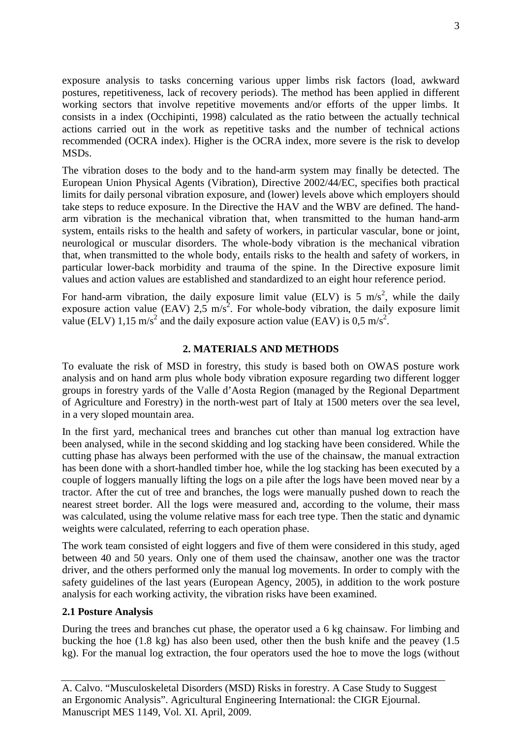exposure analysis to tasks concerning various upper limbs risk factors (load, awkward postures, repetitiveness, lack of recovery periods). The method has been applied in different working sectors that involve repetitive movements and/or efforts of the upper limbs. It consists in a index (Occhipinti, 1998) calculated as the ratio between the actually technical actions carried out in the work as repetitive tasks and the number of technical actions recommended (OCRA index). Higher is the OCRA index, more severe is the risk to develop MSDs.

The vibration doses to the body and to the hand-arm system may finally be detected. The European Union Physical Agents (Vibration), Directive 2002/44/EC, specifies both practical limits for daily personal vibration exposure, and (lower) levels above which employers should take steps to reduce exposure. In the Directive the HAV and the WBV are defined. The handarm vibration is the mechanical vibration that, when transmitted to the human hand-arm system, entails risks to the health and safety of workers, in particular vascular, bone or joint, neurological or muscular disorders. The whole-body vibration is the mechanical vibration that, when transmitted to the whole body, entails risks to the health and safety of workers, in particular lower-back morbidity and trauma of the spine. In the Directive exposure limit values and action values are established and standardized to an eight hour reference period.

For hand-arm vibration, the daily exposure limit value (ELV) is 5 m/s<sup>2</sup>, while the daily exposure action value (EAV) 2,5 m/s<sup>2</sup>. For whole-body vibration, the daily exposure limit value (ELV) 1,15 m/s<sup>2</sup> and the daily exposure action value (EAV) is 0,5 m/s<sup>2</sup>.

## **2. MATERIALS AND METHODS**

To evaluate the risk of MSD in forestry, this study is based both on OWAS posture work analysis and on hand arm plus whole body vibration exposure regarding two different logger groups in forestry yards of the Valle d'Aosta Region (managed by the Regional Department of Agriculture and Forestry) in the north-west part of Italy at 1500 meters over the sea level, in a very sloped mountain area.

In the first yard, mechanical trees and branches cut other than manual log extraction have been analysed, while in the second skidding and log stacking have been considered. While the cutting phase has always been performed with the use of the chainsaw, the manual extraction has been done with a short-handled timber hoe, while the log stacking has been executed by a couple of loggers manually lifting the logs on a pile after the logs have been moved near by a tractor. After the cut of tree and branches, the logs were manually pushed down to reach the nearest street border. All the logs were measured and, according to the volume, their mass was calculated, using the volume relative mass for each tree type. Then the static and dynamic weights were calculated, referring to each operation phase.

The work team consisted of eight loggers and five of them were considered in this study, aged between 40 and 50 years. Only one of them used the chainsaw, another one was the tractor driver, and the others performed only the manual log movements. In order to comply with the safety guidelines of the last years (European Agency, 2005), in addition to the work posture analysis for each working activity, the vibration risks have been examined.

## **2.1 Posture Analysis**

During the trees and branches cut phase, the operator used a 6 kg chainsaw. For limbing and bucking the hoe (1.8 kg) has also been used, other then the bush knife and the peavey (1.5 kg). For the manual log extraction, the four operators used the hoe to move the logs (without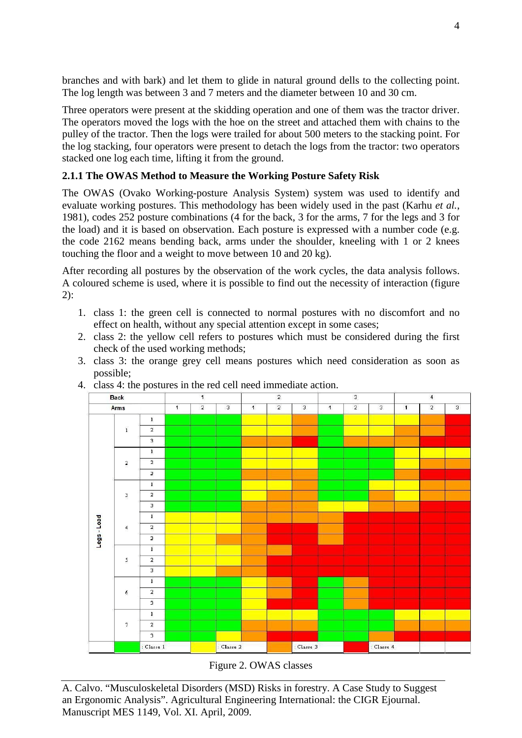branches and with bark) and let them to glide in natural ground dells to the collecting point. The log length was between 3 and 7 meters and the diameter between 10 and 30 cm.

Three operators were present at the skidding operation and one of them was the tractor driver. The operators moved the logs with the hoe on the street and attached them with chains to the pulley of the tractor. Then the logs were trailed for about 500 meters to the stacking point. For the log stacking, four operators were present to detach the logs from the tractor: two operators stacked one log each time, lifting it from the ground.

# **2.1.1 The OWAS Method to Measure the Working Posture Safety Risk**

The OWAS (Ovako Working-posture Analysis System) system was used to identify and evaluate working postures. This methodology has been widely used in the past (Karhu *et al.*, 1981), codes 252 posture combinations (4 for the back, 3 for the arms, 7 for the legs and 3 for the load) and it is based on observation. Each posture is expressed with a number code (e.g. the code 2162 means bending back, arms under the shoulder, kneeling with 1 or 2 knees touching the floor and a weight to move between 10 and 20 kg).

After recording all postures by the observation of the work cycles, the data analysis follows. A coloured scheme is used, where it is possible to find out the necessity of interaction (figure 2):

- 1. class 1: the green cell is connected to normal postures with no discomfort and no effect on health, without any special attention except in some cases;
- 2. class 2: the yellow cell refers to postures which must be considered during the first check of the used working methods;
- 3. class 3: the orange grey cell means postures which need consideration as soon as possible;



4. class 4: the postures in the red cell need immediate action.

Figure 2. OWAS classes

A. Calvo. "Musculoskeletal Disorders (MSD) Risks in forestry. A Case Study to Suggest an Ergonomic Analysis". Agricultural Engineering International: the CIGR Ejournal. Manuscript MES 1149, Vol. XI. April, 2009.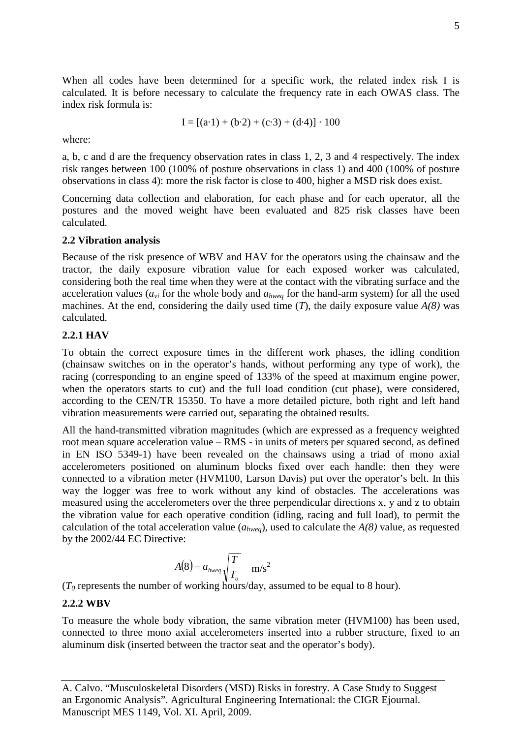When all codes have been determined for a specific work, the related index risk I is calculated. It is before necessary to calculate the frequency rate in each OWAS class. The index risk formula is:

$$
I = [(a \cdot 1) + (b \cdot 2) + (c \cdot 3) + (d \cdot 4)] \cdot 100
$$

where:

a, b, c and d are the frequency observation rates in class 1, 2, 3 and 4 respectively. The index risk ranges between 100 (100% of posture observations in class 1) and 400 (100% of posture observations in class 4): more the risk factor is close to 400, higher a MSD risk does exist.

Concerning data collection and elaboration, for each phase and for each operator, all the postures and the moved weight have been evaluated and 825 risk classes have been calculated.

#### **2.2 Vibration analysis**

Because of the risk presence of WBV and HAV for the operators using the chainsaw and the tractor, the daily exposure vibration value for each exposed worker was calculated, considering both the real time when they were at the contact with the vibrating surface and the acceleration values ( $a_{vi}$  for the whole body and  $a_{hweg}$  for the hand-arm system) for all the used machines. At the end, considering the daily used time  $(T)$ , the daily exposure value  $A(8)$  was calculated.

#### **2.2.1 HAV**

To obtain the correct exposure times in the different work phases, the idling condition (chainsaw switches on in the operator's hands, without performing any type of work), the racing (corresponding to an engine speed of 133% of the speed at maximum engine power, when the operators starts to cut) and the full load condition (cut phase), were considered, according to the CEN/TR 15350. To have a more detailed picture, both right and left hand vibration measurements were carried out, separating the obtained results.

All the hand-transmitted vibration magnitudes (which are expressed as a frequency weighted root mean square acceleration value – RMS - in units of meters per squared second, as defined in EN ISO 5349-1) have been revealed on the chainsaws using a triad of mono axial accelerometers positioned on aluminum blocks fixed over each handle: then they were connected to a vibration meter (HVM100, Larson Davis) put over the operator's belt. In this way the logger was free to work without any kind of obstacles. The accelerations was measured using the accelerometers over the three perpendicular directions x, y and z to obtain the vibration value for each operative condition (idling, racing and full load), to permit the calculation of the total acceleration value (*ahweq*), used to calculate the *A(8)* value, as requested by the 2002/44 EC Directive:

$$
A(8) = a_{\text{hweg}} \sqrt{\frac{T}{T_o}} \quad \text{m/s}^2
$$

 $(T_0$  represents the number of working hours/day, assumed to be equal to 8 hour).

## **2.2.2 WBV**

To measure the whole body vibration, the same vibration meter (HVM100) has been used, connected to three mono axial accelerometers inserted into a rubber structure, fixed to an aluminum disk (inserted between the tractor seat and the operator's body).

A. Calvo. "Musculoskeletal Disorders (MSD) Risks in forestry. A Case Study to Suggest an Ergonomic Analysis". Agricultural Engineering International: the CIGR Ejournal. Manuscript MES 1149, Vol. XI. April, 2009.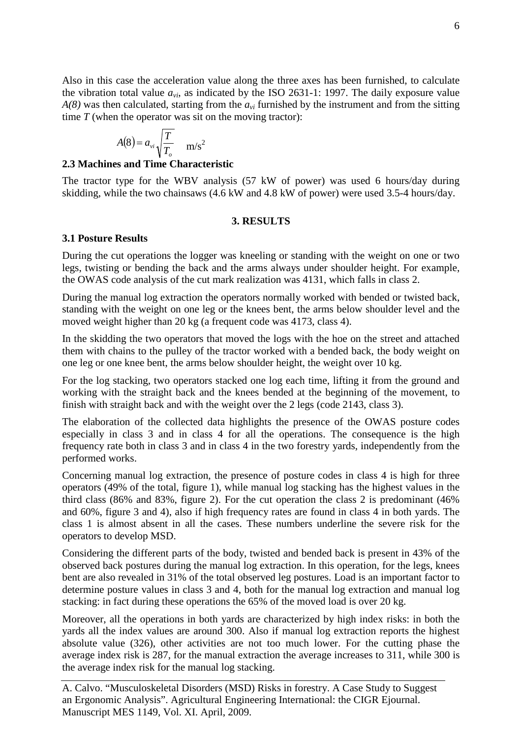Also in this case the acceleration value along the three axes has been furnished, to calculate the vibration total value  $a_{vi}$ , as indicated by the ISO 2631-1: 1997. The daily exposure value *A(8)* was then calculated, starting from the *avi* furnished by the instrument and from the sitting time *T* (when the operator was sit on the moving tractor):

$$
A(8) = a_{vi} \sqrt{\frac{T}{T_o}} \quad \text{m/s}^2
$$

## **2.3 Machines and Time Characteristic**

The tractor type for the WBV analysis (57 kW of power) was used 6 hours/day during skidding, while the two chainsaws (4.6 kW and 4.8 kW of power) were used 3.5-4 hours/day.

## **3. RESULTS**

## **3.1 Posture Results**

During the cut operations the logger was kneeling or standing with the weight on one or two legs, twisting or bending the back and the arms always under shoulder height. For example, the OWAS code analysis of the cut mark realization was 4131, which falls in class 2.

During the manual log extraction the operators normally worked with bended or twisted back, standing with the weight on one leg or the knees bent, the arms below shoulder level and the moved weight higher than 20 kg (a frequent code was 4173, class 4).

In the skidding the two operators that moved the logs with the hoe on the street and attached them with chains to the pulley of the tractor worked with a bended back, the body weight on one leg or one knee bent, the arms below shoulder height, the weight over 10 kg.

For the log stacking, two operators stacked one log each time, lifting it from the ground and working with the straight back and the knees bended at the beginning of the movement, to finish with straight back and with the weight over the 2 legs (code 2143, class 3).

The elaboration of the collected data highlights the presence of the OWAS posture codes especially in class 3 and in class 4 for all the operations. The consequence is the high frequency rate both in class 3 and in class 4 in the two forestry yards, independently from the performed works.

Concerning manual log extraction, the presence of posture codes in class 4 is high for three operators (49% of the total, figure 1), while manual log stacking has the highest values in the third class (86% and 83%, figure 2). For the cut operation the class 2 is predominant (46% and 60%, figure 3 and 4), also if high frequency rates are found in class 4 in both yards. The class 1 is almost absent in all the cases. These numbers underline the severe risk for the operators to develop MSD.

Considering the different parts of the body, twisted and bended back is present in 43% of the observed back postures during the manual log extraction. In this operation, for the legs, knees bent are also revealed in 31% of the total observed leg postures. Load is an important factor to determine posture values in class 3 and 4, both for the manual log extraction and manual log stacking: in fact during these operations the 65% of the moved load is over 20 kg.

Moreover, all the operations in both yards are characterized by high index risks: in both the yards all the index values are around 300. Also if manual log extraction reports the highest absolute value (326), other activities are not too much lower. For the cutting phase the average index risk is 287, for the manual extraction the average increases to 311, while 300 is the average index risk for the manual log stacking.

A. Calvo. "Musculoskeletal Disorders (MSD) Risks in forestry. A Case Study to Suggest an Ergonomic Analysis". Agricultural Engineering International: the CIGR Ejournal. Manuscript MES 1149, Vol. XI. April, 2009.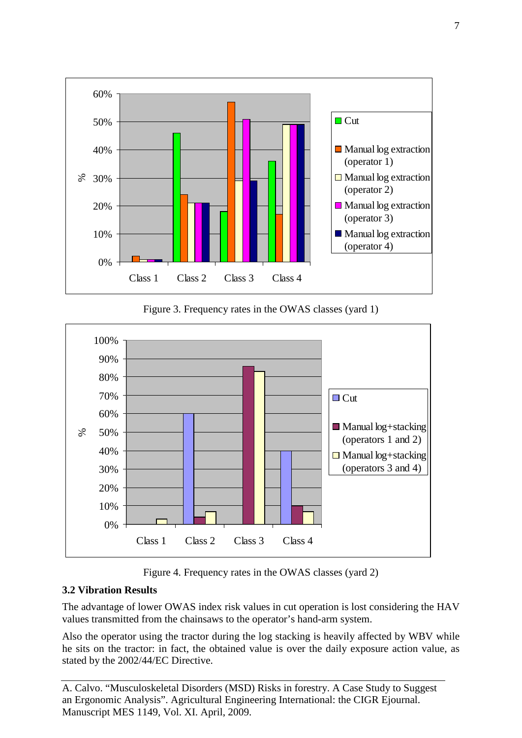

Figure 3. Frequency rates in the OWAS classes (yard 1)



Figure 4. Frequency rates in the OWAS classes (yard 2)

# **3.2 Vibration Results**

The advantage of lower OWAS index risk values in cut operation is lost considering the HAV values transmitted from the chainsaws to the operator's hand-arm system.

Also the operator using the tractor during the log stacking is heavily affected by WBV while he sits on the tractor: in fact, the obtained value is over the daily exposure action value, as stated by the 2002/44/EC Directive.

A. Calvo. "Musculoskeletal Disorders (MSD) Risks in forestry. A Case Study to Suggest an Ergonomic Analysis". Agricultural Engineering International: the CIGR Ejournal. Manuscript MES 1149, Vol. XI. April, 2009.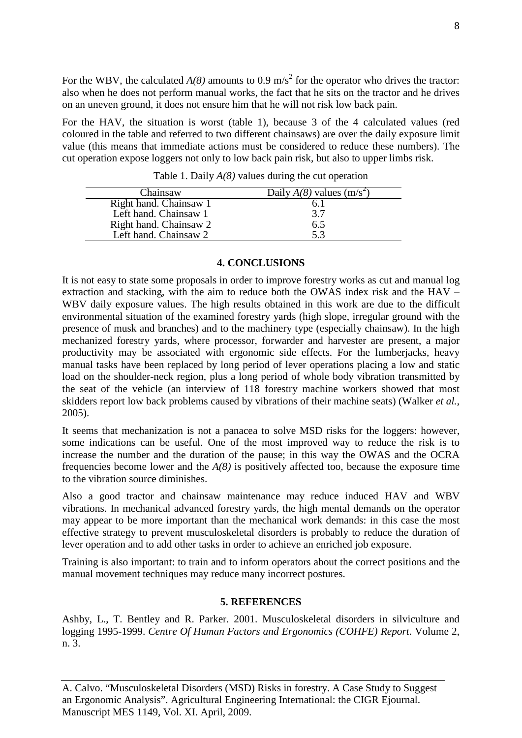For the WBV, the calculated  $A(8)$  amounts to 0.9 m/s<sup>2</sup> for the operator who drives the tractor: also when he does not perform manual works, the fact that he sits on the tractor and he drives on an uneven ground, it does not ensure him that he will not risk low back pain.

For the HAV, the situation is worst (table 1), because 3 of the 4 calculated values (red coloured in the table and referred to two different chainsaws) are over the daily exposure limit value (this means that immediate actions must be considered to reduce these numbers). The cut operation expose loggers not only to low back pain risk, but also to upper limbs risk.

| Chainsaw               | Daily $A(8)$ values (m/s <sup>2</sup> ) |
|------------------------|-----------------------------------------|
| Right hand. Chainsaw 1 | 6.1                                     |
| Left hand. Chainsaw 1  | 3.7                                     |
| Right hand. Chainsaw 2 | 6.5                                     |
| Left hand. Chainsaw 2  | 5.3                                     |

Table 1. Daily *A(8)* values during the cut operation

## **4. CONCLUSIONS**

It is not easy to state some proposals in order to improve forestry works as cut and manual log extraction and stacking, with the aim to reduce both the OWAS index risk and the HAV – WBV daily exposure values. The high results obtained in this work are due to the difficult environmental situation of the examined forestry yards (high slope, irregular ground with the presence of musk and branches) and to the machinery type (especially chainsaw). In the high mechanized forestry yards, where processor, forwarder and harvester are present, a major productivity may be associated with ergonomic side effects. For the lumberjacks, heavy manual tasks have been replaced by long period of lever operations placing a low and static load on the shoulder-neck region, plus a long period of whole body vibration transmitted by the seat of the vehicle (an interview of 118 forestry machine workers showed that most skidders report low back problems caused by vibrations of their machine seats) (Walker *et al.*, 2005).

It seems that mechanization is not a panacea to solve MSD risks for the loggers: however, some indications can be useful. One of the most improved way to reduce the risk is to increase the number and the duration of the pause; in this way the OWAS and the OCRA frequencies become lower and the  $A(8)$  is positively affected too, because the exposure time to the vibration source diminishes.

Also a good tractor and chainsaw maintenance may reduce induced HAV and WBV vibrations. In mechanical advanced forestry yards, the high mental demands on the operator may appear to be more important than the mechanical work demands: in this case the most effective strategy to prevent musculoskeletal disorders is probably to reduce the duration of lever operation and to add other tasks in order to achieve an enriched job exposure.

Training is also important: to train and to inform operators about the correct positions and the manual movement techniques may reduce many incorrect postures.

## **5. REFERENCES**

Ashby, L., T. Bentley and R. Parker. 2001. Musculoskeletal disorders in silviculture and logging 1995-1999. *Centre Of Human Factors and Ergonomics (COHFE) Report*. Volume 2, n. 3.

A. Calvo. "Musculoskeletal Disorders (MSD) Risks in forestry. A Case Study to Suggest an Ergonomic Analysis". Agricultural Engineering International: the CIGR Ejournal. Manuscript MES 1149, Vol. XI. April, 2009.